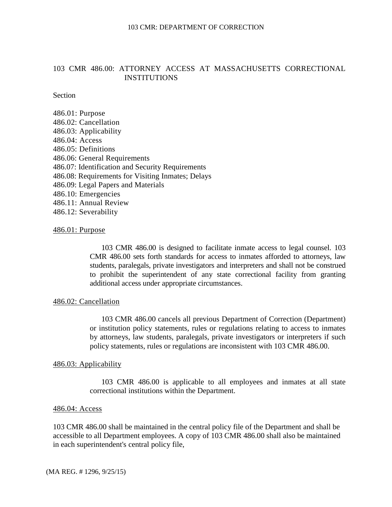## 103 CMR 486.00: ATTORNEY ACCESS AT MASSACHUSETTS CORRECTIONAL INSTITUTIONS

### Section

486.01: Purpose 486.02: Cancellation 486.03: Applicability 486.04: Access 486.05: Definitions 486.06: General Requirements 486.07: Identification and Security Requirements 486.08: Requirements for Visiting Inmates; Delays 486.09: Legal Papers and Materials 486.10: Emergencies 486.11: Annual Review 486.12: Severability

#### 486.01: Purpose

103 CMR 486.00 is designed to facilitate inmate access to legal counsel. 103 CMR 486.00 sets forth standards for access to inmates afforded to attorneys, law students, paralegals, private investigators and interpreters and shall not be construed to prohibit the superintendent of any state correctional facility from granting additional access under appropriate circumstances.

#### 486.02: Cancellation

103 CMR 486.00 cancels all previous Department of Correction (Department) or institution policy statements, rules or regulations relating to access to inmates by attorneys, law students, paralegals, private investigators or interpreters if such policy statements, rules or regulations are inconsistent with 103 CMR 486.00.

#### 486.03: Applicability

103 CMR 486.00 is applicable to all employees and inmates at all state correctional institutions within the Department.

#### 486.04: Access

103 CMR 486.00 shall be maintained in the central policy file of the Department and shall be accessible to all Department employees. A copy of 103 CMR 486.00 shall also be maintained in each superintendent's central policy file,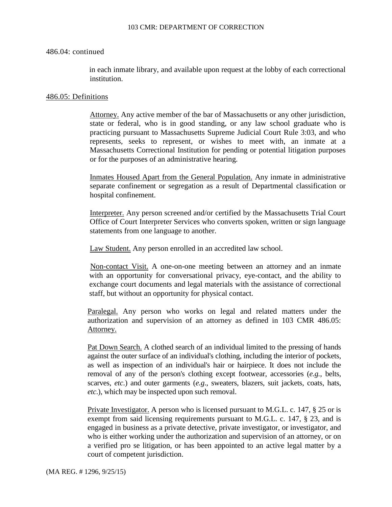## 486.04: continued

in each inmate library, and available upon request at the lobby of each correctional institution.

### 486.05: Definitions

Attorney. Any active member of the bar of Massachusetts or any other jurisdiction, state or federal, who is in good standing, or any law school graduate who is practicing pursuant to Massachusetts Supreme Judicial Court Rule 3:03, and who represents, seeks to represent, or wishes to meet with, an inmate at a Massachusetts Correctional Institution for pending or potential litigation purposes or for the purposes of an administrative hearing.

Inmates Housed Apart from the General Population. Any inmate in administrative separate confinement or segregation as a result of Departmental classification or hospital confinement.

Interpreter. Any person screened and/or certified by the Massachusetts Trial Court Office of Court Interpreter Services who converts spoken, written or sign language statements from one language to another.

Law Student. Any person enrolled in an accredited law school.

Non-contact Visit. A one-on-one meeting between an attorney and an inmate with an opportunity for conversational privacy, eye-contact, and the ability to exchange court documents and legal materials with the assistance of correctional staff, but without an opportunity for physical contact.

Paralegal. Any person who works on legal and related matters under the authorization and supervision of an attorney as defined in 103 CMR 486.05: Attorney.

Pat Down Search. A clothed search of an individual limited to the pressing of hands against the outer surface of an individual's clothing, including the interior of pockets, as well as inspection of an individual's hair or hairpiece. It does not include the removal of any of the person's clothing except footwear, accessories (*e.g.*, belts, scarves, *etc*.) and outer garments (*e.g*., sweaters, blazers, suit jackets, coats, hats, *etc*.), which may be inspected upon such removal.

Private Investigator. A person who is licensed pursuant to M.G.L. c. 147, § 25 or is exempt from said licensing requirements pursuant to M.G.L. c. 147, § 23, and is engaged in business as a private detective, private investigator, or investigator, and who is either working under the authorization and supervision of an attorney, or on a verified pro se litigation, or has been appointed to an active legal matter by a court of competent jurisdiction.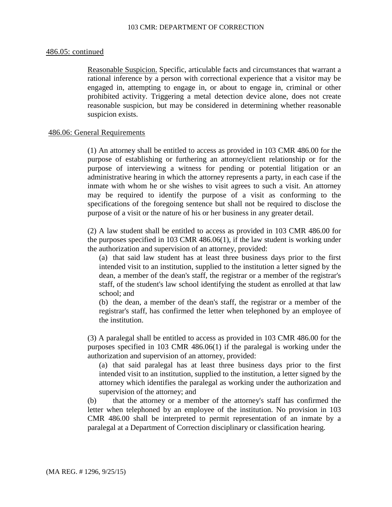## 486.05: continued

Reasonable Suspicion. Specific, articulable facts and circumstances that warrant a rational inference by a person with correctional experience that a visitor may be engaged in, attempting to engage in, or about to engage in, criminal or other prohibited activity. Triggering a metal detection device alone, does not create reasonable suspicion, but may be considered in determining whether reasonable suspicion exists.

#### 486.06: General Requirements

(1) An attorney shall be entitled to access as provided in 103 CMR 486.00 for the purpose of establishing or furthering an attorney/client relationship or for the purpose of interviewing a witness for pending or potential litigation or an administrative hearing in which the attorney represents a party, in each case if the inmate with whom he or she wishes to visit agrees to such a visit. An attorney may be required to identify the purpose of a visit as conforming to the specifications of the foregoing sentence but shall not be required to disclose the purpose of a visit or the nature of his or her business in any greater detail.

(2) A law student shall be entitled to access as provided in 103 CMR 486.00 for the purposes specified in 103 CMR 486.06(1), if the law student is working under the authorization and supervision of an attorney, provided:

(a) that said law student has at least three business days prior to the first intended visit to an institution, supplied to the institution a letter signed by the dean, a member of the dean's staff, the registrar or a member of the registrar's staff, of the student's law school identifying the student as enrolled at that law school; and

(b) the dean, a member of the dean's staff, the registrar or a member of the registrar's staff, has confirmed the letter when telephoned by an employee of the institution.

(3) A paralegal shall be entitled to access as provided in 103 CMR 486.00 for the purposes specified in 103 CMR 486.06(1) if the paralegal is working under the authorization and supervision of an attorney, provided:

(a) that said paralegal has at least three business days prior to the first intended visit to an institution, supplied to the institution, a letter signed by the attorney which identifies the paralegal as working under the authorization and supervision of the attorney; and

(b) that the attorney or a member of the attorney's staff has confirmed the letter when telephoned by an employee of the institution. No provision in 103 CMR 486.00 shall be interpreted to permit representation of an inmate by a paralegal at a Department of Correction disciplinary or classification hearing.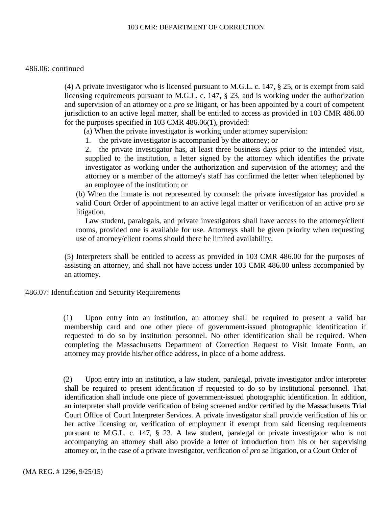#### 486.06: continued

(4) A private investigator who is licensed pursuant to M.G.L. c. 147, § 25, or is exempt from said licensing requirements pursuant to M.G.L. c. 147, § 23, and is working under the authorization and supervision of an attorney or a *pro se* litigant, or has been appointed by a court of competent jurisdiction to an active legal matter, shall be entitled to access as provided in 103 CMR 486.00 for the purposes specified in 103 CMR 486.06(1), provided:

(a) When the private investigator is working under attorney supervision:

1. the private investigator is accompanied by the attorney; or

2. the private investigator has, at least three business days prior to the intended visit, supplied to the institution, a letter signed by the attorney which identifies the private investigator as working under the authorization and supervision of the attorney; and the attorney or a member of the attorney's staff has confirmed the letter when telephoned by an employee of the institution; or

(b) When the inmate is not represented by counsel: the private investigator has provided a valid Court Order of appointment to an active legal matter or verification of an active *pro se*  litigation.

Law student, paralegals, and private investigators shall have access to the attorney/client rooms, provided one is available for use. Attorneys shall be given priority when requesting use of attorney/client rooms should there be limited availability.

(5) Interpreters shall be entitled to access as provided in 103 CMR 486.00 for the purposes of assisting an attorney, and shall not have access under 103 CMR 486.00 unless accompanied by an attorney.

#### 486.07: Identification and Security Requirements

(1) Upon entry into an institution, an attorney shall be required to present a valid bar membership card and one other piece of government-issued photographic identification if requested to do so by institution personnel. No other identification shall be required. When completing the Massachusetts Department of Correction Request to Visit Inmate Form, an attorney may provide his/her office address, in place of a home address.

(2) Upon entry into an institution, a law student, paralegal, private investigator and/or interpreter shall be required to present identification if requested to do so by institutional personnel. That identification shall include one piece of government-issued photographic identification. In addition, an interpreter shall provide verification of being screened and/or certified by the Massachusetts Trial Court Office of Court Interpreter Services. A private investigator shall provide verification of his or her active licensing or, verification of employment if exempt from said licensing requirements pursuant to M.G.L. c. 147, § 23. A law student, paralegal or private investigator who is not accompanying an attorney shall also provide a letter of introduction from his or her supervising attorney or, in the case of a private investigator, verification of *pro se* litigation, or a Court Order of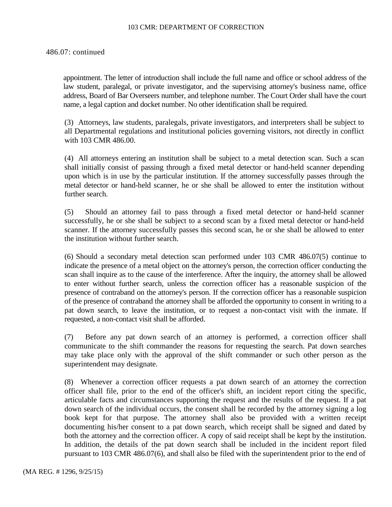## 486.07: continued

appointment. The letter of introduction shall include the full name and office or school address of the law student, paralegal, or private investigator, and the supervising attorney's business name, office address, Board of Bar Overseers number, and telephone number. The Court Order shall have the court name, a legal caption and docket number. No other identification shall be required.

(3) Attorneys, law students, paralegals, private investigators, and interpreters shall be subject to all Departmental regulations and institutional policies governing visitors, not directly in conflict with 103 CMR 486.00.

(4) All attorneys entering an institution shall be subject to a metal detection scan. Such a scan shall initially consist of passing through a fixed metal detector or hand-held scanner depending upon which is in use by the particular institution. If the attorney successfully passes through the metal detector or hand-held scanner, he or she shall be allowed to enter the institution without further search.

(5) Should an attorney fail to pass through a fixed metal detector or hand-held scanner successfully, he or she shall be subject to a second scan by a fixed metal detector or hand-held scanner. If the attorney successfully passes this second scan, he or she shall be allowed to enter the institution without further search.

(6) Should a secondary metal detection scan performed under 103 CMR 486.07(5) continue to indicate the presence of a metal object on the attorney's person, the correction officer conducting the scan shall inquire as to the cause of the interference. After the inquiry, the attorney shall be allowed to enter without further search, unless the correction officer has a reasonable suspicion of the presence of contraband on the attorney's person. If the correction officer has a reasonable suspicion of the presence of contraband the attorney shall be afforded the opportunity to consent in writing to a pat down search, to leave the institution, or to request a non-contact visit with the inmate. If requested, a non-contact visit shall be afforded.

(7) Before any pat down search of an attorney is performed, a correction officer shall communicate to the shift commander the reasons for requesting the search. Pat down searches may take place only with the approval of the shift commander or such other person as the superintendent may designate.

(8) Whenever a correction officer requests a pat down search of an attorney the correction officer shall file, prior to the end of the officer's shift, an incident report citing the specific, articulable facts and circumstances supporting the request and the results of the request. If a pat down search of the individual occurs, the consent shall be recorded by the attorney signing a log book kept for that purpose. The attorney shall also be provided with a written receipt documenting his/her consent to a pat down search, which receipt shall be signed and dated by both the attorney and the correction officer. A copy of said receipt shall be kept by the institution. In addition, the details of the pat down search shall be included in the incident report filed pursuant to 103 CMR 486.07(6), and shall also be filed with the superintendent prior to the end of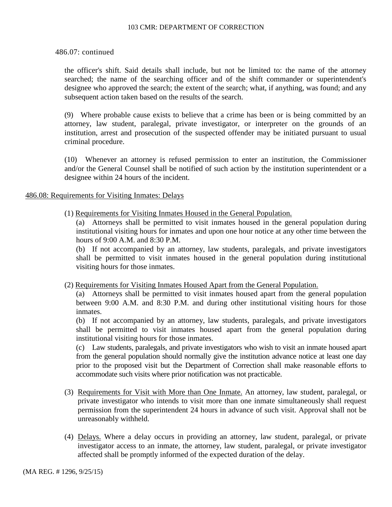## 486.07: continued

the officer's shift. Said details shall include, but not be limited to: the name of the attorney searched; the name of the searching officer and of the shift commander or superintendent's designee who approved the search; the extent of the search; what, if anything, was found; and any subsequent action taken based on the results of the search.

(9) Where probable cause exists to believe that a crime has been or is being committed by an attorney, law student, paralegal, private investigator, or interpreter on the grounds of an institution, arrest and prosecution of the suspected offender may be initiated pursuant to usual criminal procedure.

(10) Whenever an attorney is refused permission to enter an institution, the Commissioner and/or the General Counsel shall be notified of such action by the institution superintendent or a designee within 24 hours of the incident.

## 486.08: Requirements for Visiting Inmates: Delays

(1) Requirements for Visiting Inmates Housed in the General Population.

(a) Attorneys shall be permitted to visit inmates housed in the general population during institutional visiting hours for inmates and upon one hour notice at any other time between the hours of 9:00 A.M. and 8:30 P.M.

(b) If not accompanied by an attorney, law students, paralegals, and private investigators shall be permitted to visit inmates housed in the general population during institutional visiting hours for those inmates.

(2) Requirements for Visiting Inmates Housed Apart from the General Population.

(a) Attorneys shall be permitted to visit inmates housed apart from the general population between 9:00 A.M. and 8:30 P.M. and during other institutional visiting hours for those inmates.

(b) If not accompanied by an attorney, law students, paralegals, and private investigators shall be permitted to visit inmates housed apart from the general population during institutional visiting hours for those inmates.

(c) Law students, paralegals, and private investigators who wish to visit an inmate housed apart from the general population should normally give the institution advance notice at least one day prior to the proposed visit but the Department of Correction shall make reasonable efforts to accommodate such visits where prior notification was not practicable.

- (3) Requirements for Visit with More than One Inmate. An attorney, law student, paralegal, or private investigator who intends to visit more than one inmate simultaneously shall request permission from the superintendent 24 hours in advance of such visit. Approval shall not be unreasonably withheld.
- (4) Delays. Where a delay occurs in providing an attorney, law student, paralegal, or private investigator access to an inmate, the attorney, law student, paralegal, or private investigator affected shall be promptly informed of the expected duration of the delay.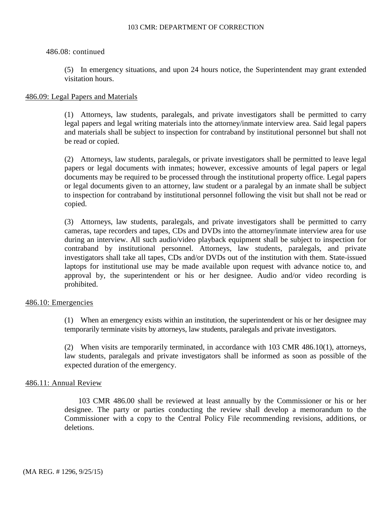## 486.08: continued

(5) In emergency situations, and upon 24 hours notice, the Superintendent may grant extended visitation hours.

## 486.09: Legal Papers and Materials

(1) Attorneys, law students, paralegals, and private investigators shall be permitted to carry legal papers and legal writing materials into the attorney/inmate interview area. Said legal papers and materials shall be subject to inspection for contraband by institutional personnel but shall not be read or copied.

(2) Attorneys, law students, paralegals, or private investigators shall be permitted to leave legal papers or legal documents with inmates; however, excessive amounts of legal papers or legal documents may be required to be processed through the institutional property office. Legal papers or legal documents given to an attorney, law student or a paralegal by an inmate shall be subject to inspection for contraband by institutional personnel following the visit but shall not be read or copied.

(3) Attorneys, law students, paralegals, and private investigators shall be permitted to carry cameras, tape recorders and tapes, CDs and DVDs into the attorney/inmate interview area for use during an interview. All such audio/video playback equipment shall be subject to inspection for contraband by institutional personnel. Attorneys, law students, paralegals, and private investigators shall take all tapes, CDs and/or DVDs out of the institution with them. State-issued laptops for institutional use may be made available upon request with advance notice to, and approval by, the superintendent or his or her designee. Audio and/or video recording is prohibited.

## 486.10: Emergencies

(1) When an emergency exists within an institution, the superintendent or his or her designee may temporarily terminate visits by attorneys, law students, paralegals and private investigators.

(2) When visits are temporarily terminated, in accordance with 103 CMR 486.10(1), attorneys, law students, paralegals and private investigators shall be informed as soon as possible of the expected duration of the emergency.

#### 486.11: Annual Review

103 CMR 486.00 shall be reviewed at least annually by the Commissioner or his or her designee. The party or parties conducting the review shall develop a memorandum to the Commissioner with a copy to the Central Policy File recommending revisions, additions, or deletions.